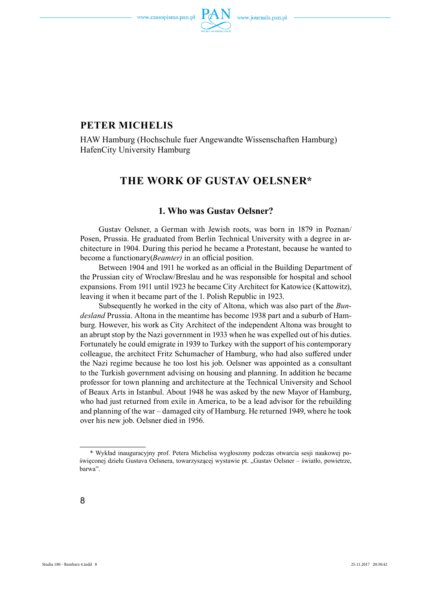www.czasopisma.pan.pl



## **PETER MICHELIS**

HAW Hamburg (Hochschule fuer Angewandte Wissenschaften Hamburg) HafenCity University Hamburg

# **THE WORK OF GUSTAV OELSNER\***

## **1. Who was Gustav Oelsner?**

Gustav Oelsner, a German with Jewish roots, was born in 1879 in Poznan/ Posen, Prussia. He graduated from Berlin Technical University with a degree in architecture in 1904. During this period he became a Protestant, because he wanted to become a functionary(*Beamter*) in an official position.

Between 1904 and 1911 he worked as an official in the Building Department of the Prussian city of Wroclaw/Breslau and he was responsible for hospital and school expansions. From 1911 until 1923 he became City Architect for Katowice (Kattowitz), leaving it when it became part of the 1. Polish Republic in 1923.

Subsequently he worked in the city of Altona, which was also part of the *Bundesland* Prussia. Altona in the meantime has become 1938 part and a suburb of Hamburg. However, his work as City Architect of the independent Altona was brought to an abrupt stop by the Nazi government in 1933 when he was expelled out of his duties. Fortunately he could emigrate in 1939 to Turkey with the support of his contemporary colleague, the architect Fritz Schumacher of Hamburg, who had also suffered under the Nazi regime because he too lost his job. Oelsner was appointed as a consultant to the Turkish government advising on housing and planning. In addition he became professor for town planning and architecture at the Technical University and School of Beaux Arts in Istanbul. About 1948 he was asked by the new Mayor of Hamburg, who had just returned from exile in America, to be a lead advisor for the rebuilding and planning of the war – damaged city of Hamburg. He returned 1949, where he took over his new job. Oelsner died in 1956.

<sup>\*</sup> Wykład inauguracyjny prof. Petera Michelisa wygłoszony podczas otwarcia sesji naukowej poświęconej dziełu Gustava Oelsnera, towarzyszącej wystawie pt. "Gustav Oelsner – światło, powietrze, barwa".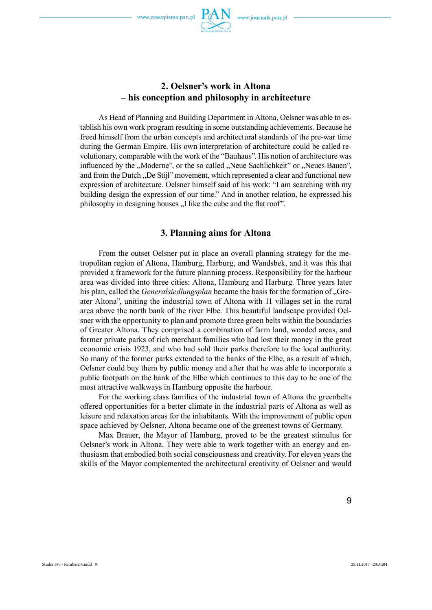www.czasopisma.pan.pl



# **2. Oelsner's work in Altona – his conception and philosophy in architecture**

As Head of Planning and Building Department in Altona, Oelsner was able to establish his own work program resulting in some outstanding achievements. Because he freed himself from the urban concepts and architectural standards of the pre-war time during the German Empire. His own interpretation of architecture could be called revolutionary, comparable with the work of the "Bauhaus". His notion of architecture was influenced by the "Moderne", or the so called "Neue Sachlichkeit" or "Neues Bauen", and from the Dutch "De Stijl" movement, which represented a clear and functional new expression of architecture. Oelsner himself said of his work: "I am searching with my building design the expression of our time." And in another relation, he expressed his philosophy in designing houses ...I like the cube and the flat roof".

## **3. Planning aims for Altona**

From the outset Oelsner put in place an overall planning strategy for the metropolitan region of Altona, Hamburg, Harburg, and Wandsbek, and it was this that provided a framework for the future planning process. Responsibility for the harbour area was divided into three cities: Altona, Hamburg and Harburg. Three years later his plan, called the *Generalsiedlungsplan* became the basis for the formation of "Greater Altona", uniting the industrial town of Altona with 11 villages set in the rural area above the north bank of the river Elbe. This beautiful landscape provided Oelsner with the opportunity to plan and promote three green belts within the boundaries of Greater Altona. They comprised a combination of farm land, wooded areas, and former private parks of rich merchant families who had lost their money in the great economic crisis 1923, and who had sold their parks therefore to the local authority. So many of the former parks extended to the banks of the Elbe, as a result of which, Oelsner could buy them by public money and after that he was able to incorporate a public footpath on the bank of the Elbe which continues to this day to be one of the most attractive walkways in Hamburg opposite the harbour.

For the working class families of the industrial town of Altona the greenbelts offered opportunities for a better climate in the industrial parts of Altona as well as leisure and relaxation areas for the inhabitants. With the improvement of public open space achieved by Oelsner, Altona became one of the greenest towns of Germany.

Max Brauer, the Mayor of Hamburg, proved to be the greatest stimulus for Oelsner's work in Altona. They were able to work together with an energy and enthusiasm that embodied both social consciousness and creativity. For eleven years the skills of the Mayor complemented the architectural creativity of Oelsner and would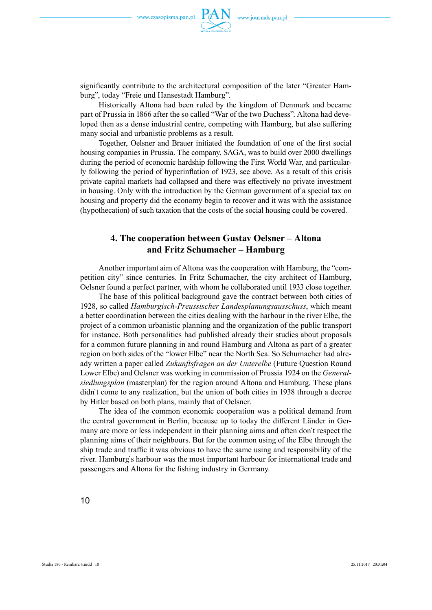

significantly contribute to the architectural composition of the later "Greater Hamburg", today "Freie und Hansestadt Hamburg".

Historically Altona had been ruled by the kingdom of Denmark and became part of Prussia in 1866 after the so called "War of the two Duchess". Altona had developed then as a dense industrial centre, competing with Hamburg, but also suffering many social and urbanistic problems as a result.

Together, Oelsner and Brauer initiated the foundation of one of the first social housing companies in Prussia. The company, SAGA, was to build over 2000 dwellings during the period of economic hardship following the First World War, and particularly following the period of hyperinflation of 1923, see above. As a result of this crisis private capital markets had collapsed and there was effectively no private investment in housing. Only with the introduction by the German government of a special tax on housing and property did the economy begin to recover and it was with the assistance (hypothecation) of such taxation that the costs of the social housing could be covered.

## **4. The cooperation between Gustav Oelsner – Altona and Fritz Schumacher – Hamburg**

Another important aim of Altona was the cooperation with Hamburg, the "competition city" since centuries. In Fritz Schumacher, the city architect of Hamburg, Oelsner found a perfect partner, with whom he collaborated until 1933 close together.

The base of this political background gave the contract between both cities of 1928, so called *Hamburgisch-Preussischer Landesplanungsausschuss*, which meant a better coordination between the cities dealing with the harbour in the river Elbe, the project of a common urbanistic planning and the organization of the public transport for instance. Both personalities had published already their studies about proposals for a common future planning in and round Hamburg and Altona as part of a greater region on both sides of the "lower Elbe" near the North Sea. So Schumacher had already written a paper called *Zukunftsfragen an der Unterelbe* (Future Question Round Lower Elbe) and Oelsner was working in commission of Prussia 1924 on the *Generalsiedlungsplan* (masterplan) for the region around Altona and Hamburg. These plans didn`t come to any realization, but the union of both cities in 1938 through a decree by Hitler based on both plans, mainly that of Oelsner.

The idea of the common economic cooperation was a political demand from the central government in Berlin, because up to today the different Länder in Germany are more or less independent in their planning aims and often don`t respect the planning aims of their neighbours. But for the common using of the Elbe through the ship trade and traffic it was obvious to have the same using and responsibility of the river. Hamburg`s harbour was the most important harbour for international trade and passengers and Altona for the fishing industry in Germany.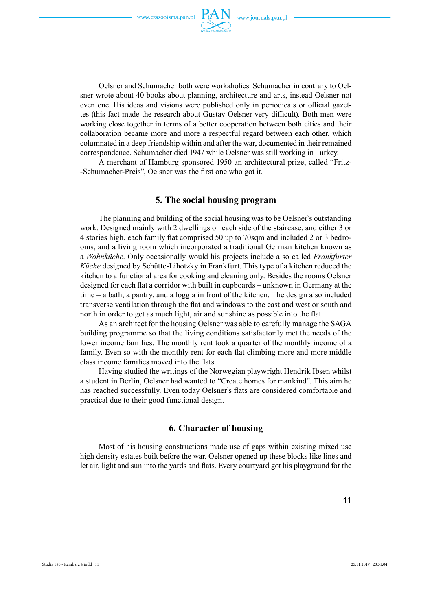

Oelsner and Schumacher both were workaholics. Schumacher in contrary to Oelsner wrote about 40 books about planning, architecture and arts, instead Oelsner not even one. His ideas and visions were published only in periodicals or official gazettes (this fact made the research about Gustav Oelsner very difficult). Both men were working close together in terms of a better cooperation between both cities and their collaboration became more and more a respectful regard between each other, which columnated in a deep friendship within and after the war, documented in their remained correspondence. Schumacher died 1947 while Oelsner was still working in Turkey.

A merchant of Hamburg sponsored 1950 an architectural prize, called "Fritz- -Schumacher-Preis", Oelsner was the first one who got it.

## **5. The social housing program**

The planning and building of the social housing was to be Oelsner`s outstanding work. Designed mainly with 2 dwellings on each side of the staircase, and either 3 or 4 stories high, each family flat comprised 50 up to 70sqm and included 2 or 3 bedrooms, and a living room which incorporated a traditional German kitchen known as a *Wohnküche*. Only occasionally would his projects include a so called *Frankfurter Küche* designed by Schütte-Lihotzky in Frankfurt. This type of a kitchen reduced the kitchen to a functional area for cooking and cleaning only. Besides the rooms Oelsner designed for each flat a corridor with built in cupboards – unknown in Germany at the time – a bath, a pantry, and a loggia in front of the kitchen. The design also included transverse ventilation through the flat and windows to the east and west or south and north in order to get as much light, air and sunshine as possible into the flat.

As an architect for the housing Oelsner was able to carefully manage the SAGA building programme so that the living conditions satisfactorily met the needs of the lower income families. The monthly rent took a quarter of the monthly income of a family. Even so with the monthly rent for each flat climbing more and more middle class income families moved into the flats.

Having studied the writings of the Norwegian playwright Hendrik Ibsen whilst a student in Berlin, Oelsner had wanted to "Create homes for mankind". This aim he has reached successfully. Even today Oelsner's flats are considered comfortable and practical due to their good functional design.

### **6. Character of housing**

Most of his housing constructions made use of gaps within existing mixed use high density estates built before the war. Oelsner opened up these blocks like lines and let air, light and sun into the yards and flats. Every courtyard got his playground for the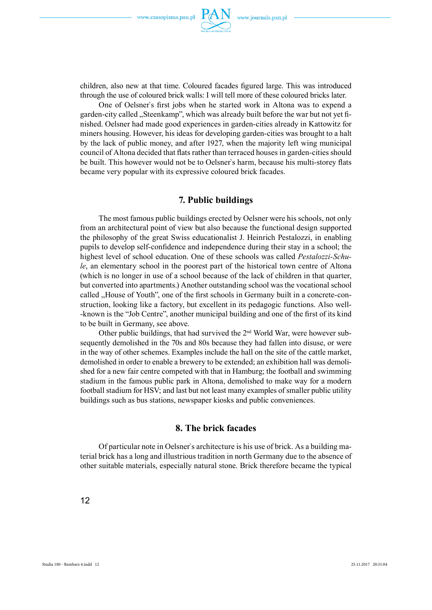

children, also new at that time. Coloured facades figured large. This was introduced through the use of coloured brick walls: I will tell more of these coloured bricks later.

One of Oelsner's first jobs when he started work in Altona was to expend a garden-city called "Steenkamp", which was already built before the war but not yet finished. Oelsner had made good experiences in garden-cities already in Kattowitz for miners housing. However, his ideas for developing garden-cities was brought to a halt by the lack of public money, and after 1927, when the majority left wing municipal council of Altona decided that flats rather than terraced houses in garden-cities should be built. This however would not be to Oelsner's harm, because his multi-storey flats became very popular with its expressive coloured brick facades.

#### **7. Public buildings**

The most famous public buildings erected by Oelsner were his schools, not only from an architectural point of view but also because the functional design supported the philosophy of the great Swiss educationalist J. Heinrich Pestalozzi, in enabling pupils to develop self-confidence and independence during their stay in a school; the highest level of school education. One of these schools was called *Pestalozzi-Schule*, an elementary school in the poorest part of the historical town centre of Altona (which is no longer in use of a school because of the lack of children in that quarter, but converted into apartments.) Another outstanding school was the vocational school called "House of Youth", one of the first schools in Germany built in a concrete-construction, looking like a factory, but excellent in its pedagogic functions. Also well- -known is the "Job Centre", another municipal building and one of the first of its kind to be built in Germany, see above.

Other public buildings, that had survived the 2nd World War, were however subsequently demolished in the 70s and 80s because they had fallen into disuse, or were in the way of other schemes. Examples include the hall on the site of the cattle market, demolished in order to enable a brewery to be extended; an exhibition hall was demolished for a new fair centre competed with that in Hamburg; the football and swimming stadium in the famous public park in Altona, demolished to make way for a modern football stadium for HSV; and last but not least many examples of smaller public utility buildings such as bus stations, newspaper kiosks and public conveniences.

#### **8. The brick facades**

Of particular note in Oelsner`s architecture is his use of brick. As a building material brick has a long and illustrious tradition in north Germany due to the absence of other suitable materials, especially natural stone. Brick therefore became the typical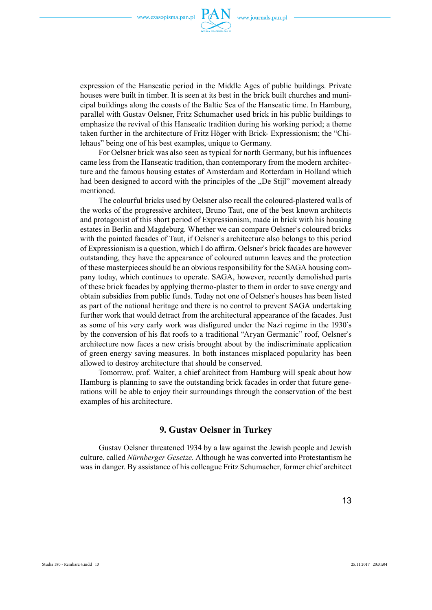

expression of the Hanseatic period in the Middle Ages of public buildings. Private houses were built in timber. It is seen at its best in the brick built churches and municipal buildings along the coasts of the Baltic Sea of the Hanseatic time. In Hamburg, parallel with Gustav Oelsner, Fritz Schumacher used brick in his public buildings to emphasize the revival of this Hanseatic tradition during his working period; a theme taken further in the architecture of Fritz Höger with Brick- Expressionism; the "Chilehaus" being one of his best examples, unique to Germany.

For Oelsner brick was also seen as typical for north Germany, but his influences came less from the Hanseatic tradition, than contemporary from the modern architecture and the famous housing estates of Amsterdam and Rotterdam in Holland which had been designed to accord with the principles of the "De Stijl" movement already mentioned.

The colourful bricks used by Oelsner also recall the coloured-plastered walls of the works of the progressive architect, Bruno Taut, one of the best known architects and protagonist of this short period of Expressionism, made in brick with his housing estates in Berlin and Magdeburg. Whether we can compare Oelsner`s coloured bricks with the painted facades of Taut, if Oelsner`s architecture also belongs to this period of Expressionism is a question, which I do affirm. Oelsner's brick facades are however outstanding, they have the appearance of coloured autumn leaves and the protection of these masterpieces should be an obvious responsibility for the SAGA housing company today, which continues to operate. SAGA, however, recently demolished parts of these brick facades by applying thermo-plaster to them in order to save energy and obtain subsidies from public funds. Today not one of Oelsner`s houses has been listed as part of the national heritage and there is no control to prevent SAGA undertaking further work that would detract from the architectural appearance of the facades. Just as some of his very early work was disfigured under the Nazi regime in the 1930's by the conversion of his flat roofs to a traditional "Aryan Germanic" roof, Oelsner's architecture now faces a new crisis brought about by the indiscriminate application of green energy saving measures. In both instances misplaced popularity has been allowed to destroy architecture that should be conserved.

Tomorrow, prof. Walter, a chief architect from Hamburg will speak about how Hamburg is planning to save the outstanding brick facades in order that future generations will be able to enjoy their surroundings through the conservation of the best examples of his architecture.

#### **9. Gustav Oelsner in Turkey**

Gustav Oelsner threatened 1934 by a law against the Jewish people and Jewish culture, called *Nürnberger Gesetze*. Although he was converted into Protestantism he was in danger. By assistance of his colleague Fritz Schumacher, former chief architect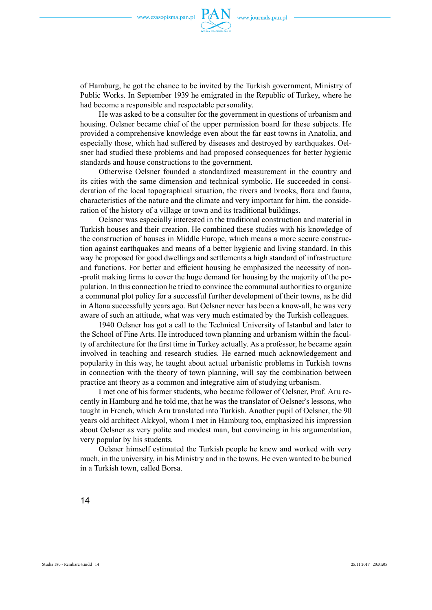

of Hamburg, he got the chance to be invited by the Turkish government, Ministry of Public Works. In September 1939 he emigrated in the Republic of Turkey, where he had become a responsible and respectable personality.

He was asked to be a consulter for the government in questions of urbanism and housing. Oelsner became chief of the upper permission board for these subjects. He provided a comprehensive knowledge even about the far east towns in Anatolia, and especially those, which had suffered by diseases and destroyed by earthquakes. Oelsner had studied these problems and had proposed consequences for better hygienic standards and house constructions to the government.

Otherwise Oelsner founded a standardized measurement in the country and its cities with the same dimension and technical symbolic. He succeeded in consideration of the local topographical situation, the rivers and brooks, flora and fauna, characteristics of the nature and the climate and very important for him, the consideration of the history of a village or town and its traditional buildings.

Oelsner was especially interested in the traditional construction and material in Turkish houses and their creation. He combined these studies with his knowledge of the construction of houses in Middle Europe, which means a more secure construction against earthquakes and means of a better hygienic and living standard. In this way he proposed for good dwellings and settlements a high standard of infrastructure and functions. For better and efficient housing he emphasized the necessity of non--profit making firms to cover the huge demand for housing by the majority of the population. In this connection he tried to convince the communal authorities to organize a communal plot policy for a successful further development of their towns, as he did in Altona successfully years ago. But Oelsner never has been a know-all, he was very aware of such an attitude, what was very much estimated by the Turkish colleagues.

1940 Oelsner has got a call to the Technical University of Istanbul and later to the School of Fine Arts. He introduced town planning and urbanism within the faculty of architecture for the first time in Turkey actually. As a professor, he became again involved in teaching and research studies. He earned much acknowledgement and popularity in this way, he taught about actual urbanistic problems in Turkish towns in connection with the theory of town planning, will say the combination between practice ant theory as a common and integrative aim of studying urbanism.

I met one of his former students, who became follower of Oelsner, Prof. Aru recently in Hamburg and he told me, that he was the translator of Oelsner`s lessons, who taught in French, which Aru translated into Turkish. Another pupil of Oelsner, the 90 years old architect Akkyol, whom I met in Hamburg too, emphasized his impression about Oelsner as very polite and modest man, but convincing in his argumentation, very popular by his students.

Oelsner himself estimated the Turkish people he knew and worked with very much, in the university, in his Ministry and in the towns. He even wanted to be buried in a Turkish town, called Borsa.